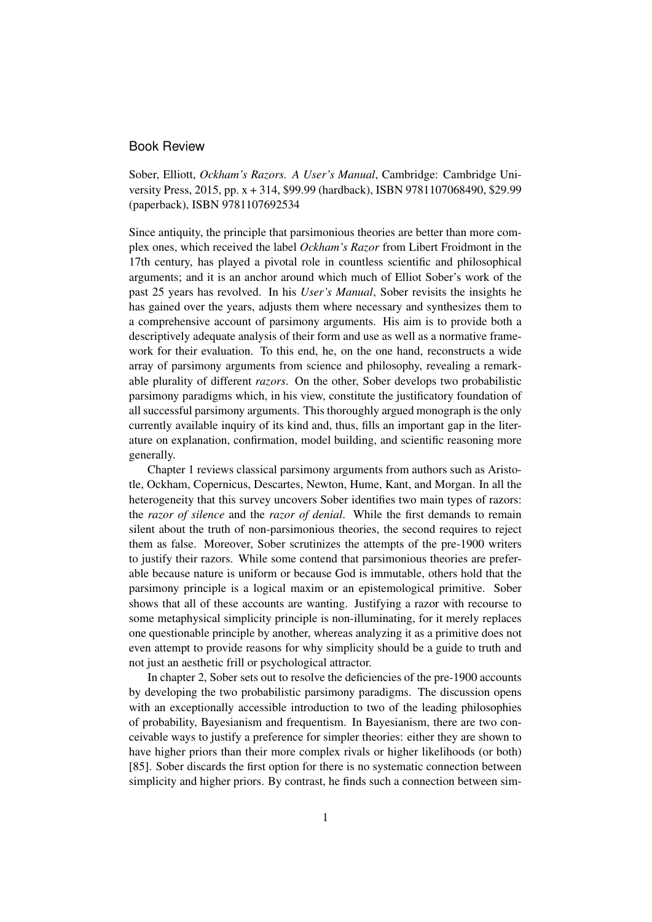## Book Review

Sober, Elliott, *Ockham's Razors. A User's Manual*, Cambridge: Cambridge University Press, 2015, pp. x + 314, \$99.99 (hardback), ISBN 9781107068490, \$29.99 (paperback), ISBN 9781107692534

Since antiquity, the principle that parsimonious theories are better than more complex ones, which received the label *Ockham's Razor* from Libert Froidmont in the 17th century, has played a pivotal role in countless scientific and philosophical arguments; and it is an anchor around which much of Elliot Sober's work of the past 25 years has revolved. In his *User's Manual*, Sober revisits the insights he has gained over the years, adjusts them where necessary and synthesizes them to a comprehensive account of parsimony arguments. His aim is to provide both a descriptively adequate analysis of their form and use as well as a normative framework for their evaluation. To this end, he, on the one hand, reconstructs a wide array of parsimony arguments from science and philosophy, revealing a remarkable plurality of different *razors*. On the other, Sober develops two probabilistic parsimony paradigms which, in his view, constitute the justificatory foundation of all successful parsimony arguments. This thoroughly argued monograph is the only currently available inquiry of its kind and, thus, fills an important gap in the literature on explanation, confirmation, model building, and scientific reasoning more generally.

Chapter 1 reviews classical parsimony arguments from authors such as Aristotle, Ockham, Copernicus, Descartes, Newton, Hume, Kant, and Morgan. In all the heterogeneity that this survey uncovers Sober identifies two main types of razors: the *razor of silence* and the *razor of denial*. While the first demands to remain silent about the truth of non-parsimonious theories, the second requires to reject them as false. Moreover, Sober scrutinizes the attempts of the pre-1900 writers to justify their razors. While some contend that parsimonious theories are preferable because nature is uniform or because God is immutable, others hold that the parsimony principle is a logical maxim or an epistemological primitive. Sober shows that all of these accounts are wanting. Justifying a razor with recourse to some metaphysical simplicity principle is non-illuminating, for it merely replaces one questionable principle by another, whereas analyzing it as a primitive does not even attempt to provide reasons for why simplicity should be a guide to truth and not just an aesthetic frill or psychological attractor.

In chapter 2, Sober sets out to resolve the deficiencies of the pre-1900 accounts by developing the two probabilistic parsimony paradigms. The discussion opens with an exceptionally accessible introduction to two of the leading philosophies of probability, Bayesianism and frequentism. In Bayesianism, there are two conceivable ways to justify a preference for simpler theories: either they are shown to have higher priors than their more complex rivals or higher likelihoods (or both) [85]. Sober discards the first option for there is no systematic connection between simplicity and higher priors. By contrast, he finds such a connection between sim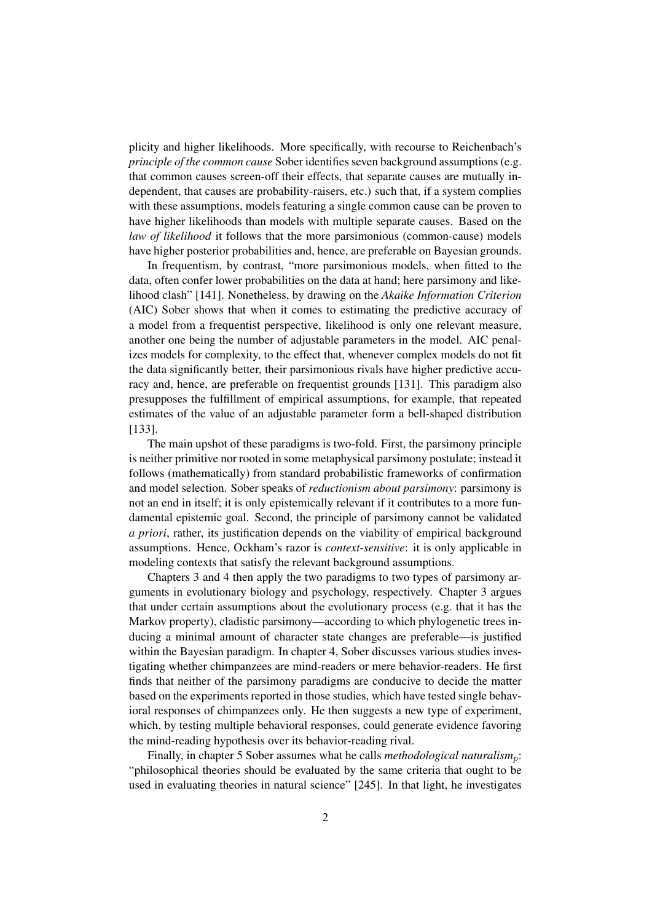plicity and higher likelihoods. More specifically, with recourse to Reichenbach's *principle of the common cause* Sober identifies seven background assumptions (e.g. that common causes screen-off their effects, that separate causes are mutually independent, that causes are probability-raisers, etc.) such that, if a system complies with these assumptions, models featuring a single common cause can be proven to have higher likelihoods than models with multiple separate causes. Based on the *law of likelihood* it follows that the more parsimonious (common-cause) models have higher posterior probabilities and, hence, are preferable on Bayesian grounds.

In frequentism, by contrast, "more parsimonious models, when fitted to the data, often confer lower probabilities on the data at hand; here parsimony and likelihood clash" [141]. Nonetheless, by drawing on the *Akaike Information Criterion* (AIC) Sober shows that when it comes to estimating the predictive accuracy of a model from a frequentist perspective, likelihood is only one relevant measure, another one being the number of adjustable parameters in the model. AIC penalizes models for complexity, to the effect that, whenever complex models do not fit the data significantly better, their parsimonious rivals have higher predictive accuracy and, hence, are preferable on frequentist grounds [131]. This paradigm also presupposes the fulfillment of empirical assumptions, for example, that repeated estimates of the value of an adjustable parameter form a bell-shaped distribution [133].

The main upshot of these paradigms is two-fold. First, the parsimony principle is neither primitive nor rooted in some metaphysical parsimony postulate; instead it follows (mathematically) from standard probabilistic frameworks of confirmation and model selection. Sober speaks of *reductionism about parsimony*: parsimony is not an end in itself; it is only epistemically relevant if it contributes to a more fundamental epistemic goal. Second, the principle of parsimony cannot be validated *a priori*, rather, its justification depends on the viability of empirical background assumptions. Hence, Ockham's razor is *context-sensitive*: it is only applicable in modeling contexts that satisfy the relevant background assumptions.

Chapters 3 and 4 then apply the two paradigms to two types of parsimony arguments in evolutionary biology and psychology, respectively. Chapter 3 argues that under certain assumptions about the evolutionary process (e.g. that it has the Markov property), cladistic parsimony—according to which phylogenetic trees inducing a minimal amount of character state changes are preferable—is justified within the Bayesian paradigm. In chapter 4, Sober discusses various studies investigating whether chimpanzees are mind-readers or mere behavior-readers. He first finds that neither of the parsimony paradigms are conducive to decide the matter based on the experiments reported in those studies, which have tested single behavioral responses of chimpanzees only. He then suggests a new type of experiment, which, by testing multiple behavioral responses, could generate evidence favoring the mind-reading hypothesis over its behavior-reading rival.

Finally, in chapter 5 Sober assumes what he calls *methodological naturalism*<sub>p</sub>: "philosophical theories should be evaluated by the same criteria that ought to be used in evaluating theories in natural science" [245]. In that light, he investigates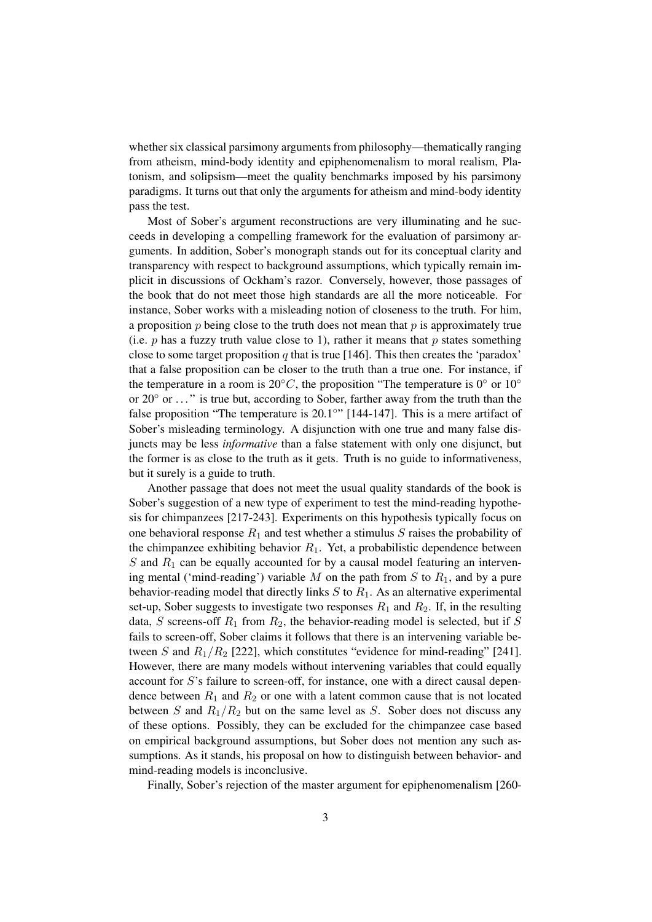whether six classical parsimony arguments from philosophy—thematically ranging from atheism, mind-body identity and epiphenomenalism to moral realism, Platonism, and solipsism—meet the quality benchmarks imposed by his parsimony paradigms. It turns out that only the arguments for atheism and mind-body identity pass the test.

Most of Sober's argument reconstructions are very illuminating and he succeeds in developing a compelling framework for the evaluation of parsimony arguments. In addition, Sober's monograph stands out for its conceptual clarity and transparency with respect to background assumptions, which typically remain implicit in discussions of Ockham's razor. Conversely, however, those passages of the book that do not meet those high standards are all the more noticeable. For instance, Sober works with a misleading notion of closeness to the truth. For him, a proposition  $p$  being close to the truth does not mean that  $p$  is approximately true (i.e.  $p$  has a fuzzy truth value close to 1), rather it means that  $p$  states something close to some target proposition q that is true [146]. This then creates the 'paradox' that a false proposition can be closer to the truth than a true one. For instance, if the temperature in a room is 20 $\degree C$ , the proposition "The temperature is 0 $\degree$  or 10 $\degree$ or 20◦ or . . . " is true but, according to Sober, farther away from the truth than the false proposition "The temperature is 20.1°" [144-147]. This is a mere artifact of Sober's misleading terminology. A disjunction with one true and many false disjuncts may be less *informative* than a false statement with only one disjunct, but the former is as close to the truth as it gets. Truth is no guide to informativeness, but it surely is a guide to truth.

Another passage that does not meet the usual quality standards of the book is Sober's suggestion of a new type of experiment to test the mind-reading hypothesis for chimpanzees [217-243]. Experiments on this hypothesis typically focus on one behavioral response  $R_1$  and test whether a stimulus S raises the probability of the chimpanzee exhibiting behavior  $R_1$ . Yet, a probabilistic dependence between  $S$  and  $R_1$  can be equally accounted for by a causal model featuring an intervening mental ('mind-reading') variable  $M$  on the path from  $S$  to  $R_1$ , and by a pure behavior-reading model that directly links  $S$  to  $R_1$ . As an alternative experimental set-up, Sober suggests to investigate two responses  $R_1$  and  $R_2$ . If, in the resulting data, S screens-off  $R_1$  from  $R_2$ , the behavior-reading model is selected, but if S fails to screen-off, Sober claims it follows that there is an intervening variable between S and  $R_1/R_2$  [222], which constitutes "evidence for mind-reading" [241]. However, there are many models without intervening variables that could equally account for S's failure to screen-off, for instance, one with a direct causal dependence between  $R_1$  and  $R_2$  or one with a latent common cause that is not located between S and  $R_1/R_2$  but on the same level as S. Sober does not discuss any of these options. Possibly, they can be excluded for the chimpanzee case based on empirical background assumptions, but Sober does not mention any such assumptions. As it stands, his proposal on how to distinguish between behavior- and mind-reading models is inconclusive.

Finally, Sober's rejection of the master argument for epiphenomenalism [260-